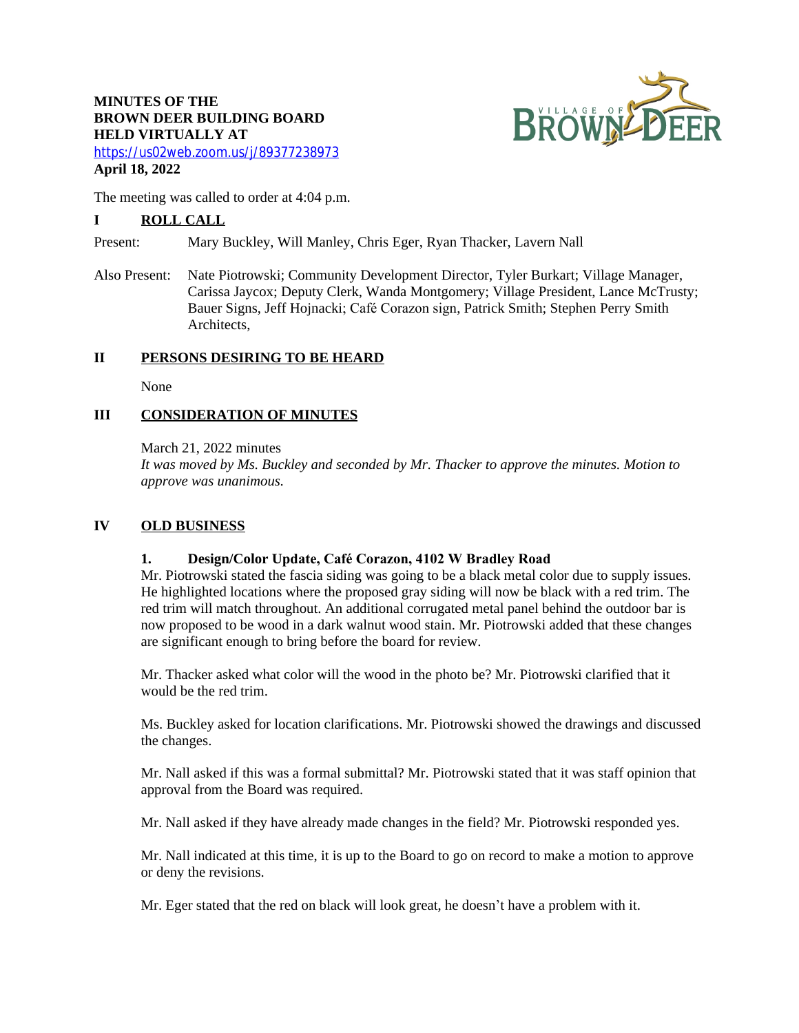# **MINUTES OF THE BROWN DEER BUILDING BOARD HELD VIRTUALLY AT**



<https://us02web.zoom.us/j/89377238973> **April 18, 2022**

The meeting was called to order at 4:04 p.m.

## **I ROLL CALL**

Present: Mary Buckley, Will Manley, Chris Eger, Ryan Thacker, Lavern Nall

Also Present: Nate Piotrowski; Community Development Director, Tyler Burkart; Village Manager, Carissa Jaycox; Deputy Clerk, Wanda Montgomery; Village President, Lance McTrusty; Bauer Signs, Jeff Hojnacki; Café Corazon sign, Patrick Smith; Stephen Perry Smith Architects,

## **II PERSONS DESIRING TO BE HEARD**

None

## **III CONSIDERATION OF MINUTES**

March 21, 2022 minutes

*It was moved by Ms. Buckley and seconded by Mr. Thacker to approve the minutes. Motion to approve was unanimous.*

### **IV OLD BUSINESS**

### **1. Design/Color Update, Café Corazon, 4102 W Bradley Road**

Mr. Piotrowski stated the fascia siding was going to be a black metal color due to supply issues. He highlighted locations where the proposed gray siding will now be black with a red trim. The red trim will match throughout. An additional corrugated metal panel behind the outdoor bar is now proposed to be wood in a dark walnut wood stain. Mr. Piotrowski added that these changes are significant enough to bring before the board for review.

Mr. Thacker asked what color will the wood in the photo be? Mr. Piotrowski clarified that it would be the red trim.

Ms. Buckley asked for location clarifications. Mr. Piotrowski showed the drawings and discussed the changes.

Mr. Nall asked if this was a formal submittal? Mr. Piotrowski stated that it was staff opinion that approval from the Board was required.

Mr. Nall asked if they have already made changes in the field? Mr. Piotrowski responded yes.

Mr. Nall indicated at this time, it is up to the Board to go on record to make a motion to approve or deny the revisions.

Mr. Eger stated that the red on black will look great, he doesn't have a problem with it.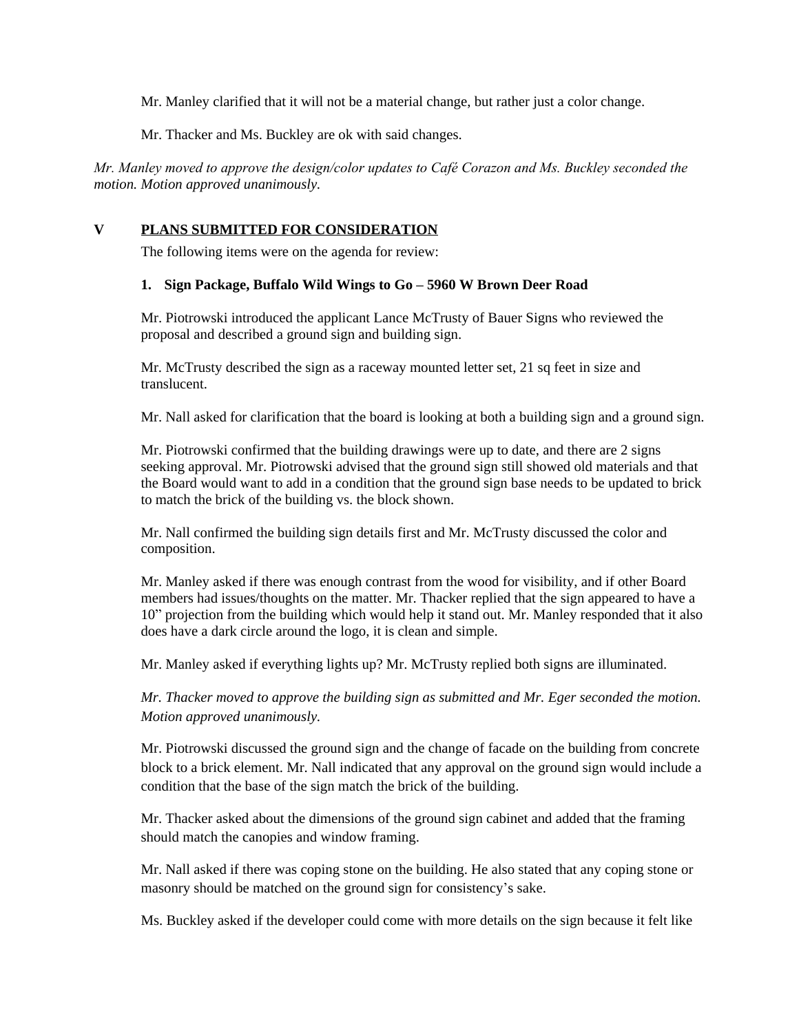Mr. Manley clarified that it will not be a material change, but rather just a color change.

Mr. Thacker and Ms. Buckley are ok with said changes.

*Mr. Manley moved to approve the design/color updates to Café Corazon and Ms. Buckley seconded the motion. Motion approved unanimously.*

## **V PLANS SUBMITTED FOR CONSIDERATION**

The following items were on the agenda for review:

### **1. Sign Package, Buffalo Wild Wings to Go – 5960 W Brown Deer Road**

Mr. Piotrowski introduced the applicant Lance McTrusty of Bauer Signs who reviewed the proposal and described a ground sign and building sign.

Mr. McTrusty described the sign as a raceway mounted letter set, 21 sq feet in size and translucent.

Mr. Nall asked for clarification that the board is looking at both a building sign and a ground sign.

Mr. Piotrowski confirmed that the building drawings were up to date, and there are 2 signs seeking approval. Mr. Piotrowski advised that the ground sign still showed old materials and that the Board would want to add in a condition that the ground sign base needs to be updated to brick to match the brick of the building vs. the block shown.

Mr. Nall confirmed the building sign details first and Mr. McTrusty discussed the color and composition.

Mr. Manley asked if there was enough contrast from the wood for visibility, and if other Board members had issues/thoughts on the matter. Mr. Thacker replied that the sign appeared to have a 10" projection from the building which would help it stand out. Mr. Manley responded that it also does have a dark circle around the logo, it is clean and simple.

Mr. Manley asked if everything lights up? Mr. McTrusty replied both signs are illuminated.

*Mr. Thacker moved to approve the building sign as submitted and Mr. Eger seconded the motion. Motion approved unanimously.*

Mr. Piotrowski discussed the ground sign and the change of facade on the building from concrete block to a brick element. Mr. Nall indicated that any approval on the ground sign would include a condition that the base of the sign match the brick of the building.

Mr. Thacker asked about the dimensions of the ground sign cabinet and added that the framing should match the canopies and window framing.

Mr. Nall asked if there was coping stone on the building. He also stated that any coping stone or masonry should be matched on the ground sign for consistency's sake.

Ms. Buckley asked if the developer could come with more details on the sign because it felt like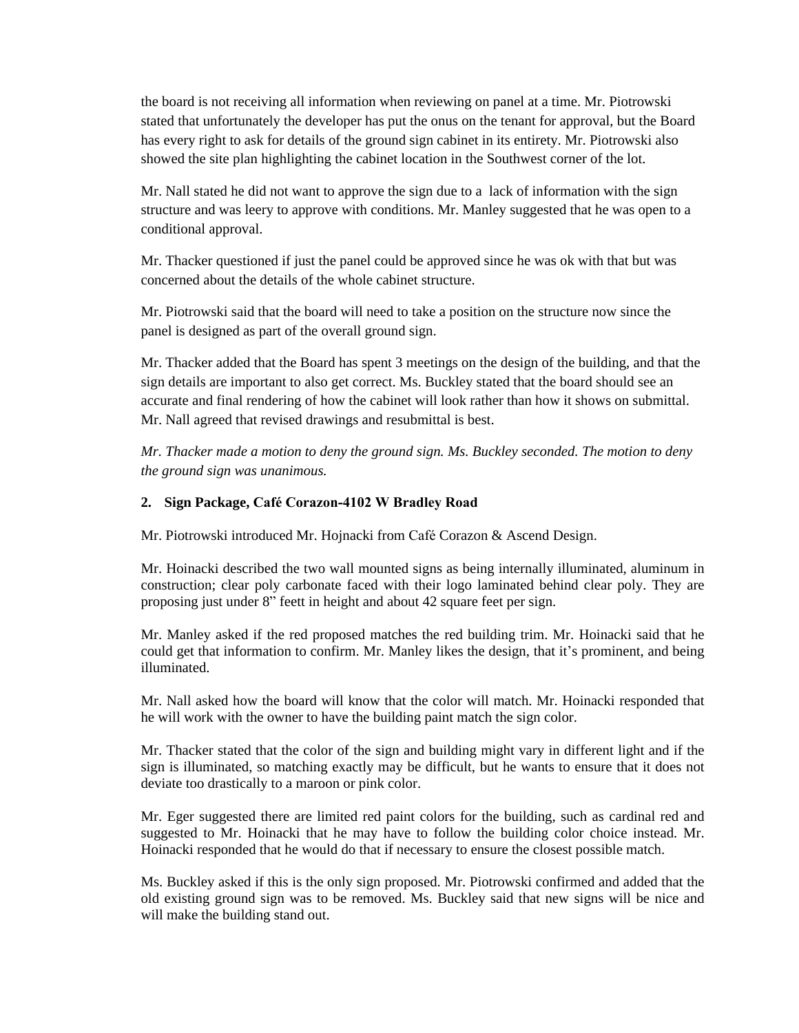the board is not receiving all information when reviewing on panel at a time. Mr. Piotrowski stated that unfortunately the developer has put the onus on the tenant for approval, but the Board has every right to ask for details of the ground sign cabinet in its entirety. Mr. Piotrowski also showed the site plan highlighting the cabinet location in the Southwest corner of the lot.

Mr. Nall stated he did not want to approve the sign due to a lack of information with the sign structure and was leery to approve with conditions. Mr. Manley suggested that he was open to a conditional approval.

Mr. Thacker questioned if just the panel could be approved since he was ok with that but was concerned about the details of the whole cabinet structure.

Mr. Piotrowski said that the board will need to take a position on the structure now since the panel is designed as part of the overall ground sign.

Mr. Thacker added that the Board has spent 3 meetings on the design of the building, and that the sign details are important to also get correct. Ms. Buckley stated that the board should see an accurate and final rendering of how the cabinet will look rather than how it shows on submittal. Mr. Nall agreed that revised drawings and resubmittal is best.

*Mr. Thacker made a motion to deny the ground sign. Ms. Buckley seconded. The motion to deny the ground sign was unanimous.*

### **2. Sign Package, Café Corazon-4102 W Bradley Road**

Mr. Piotrowski introduced Mr. Hojnacki from Café Corazon & Ascend Design.

Mr. Hoinacki described the two wall mounted signs as being internally illuminated, aluminum in construction; clear poly carbonate faced with their logo laminated behind clear poly. They are proposing just under 8" feett in height and about 42 square feet per sign.

Mr. Manley asked if the red proposed matches the red building trim. Mr. Hoinacki said that he could get that information to confirm. Mr. Manley likes the design, that it's prominent, and being illuminated.

Mr. Nall asked how the board will know that the color will match. Mr. Hoinacki responded that he will work with the owner to have the building paint match the sign color.

Mr. Thacker stated that the color of the sign and building might vary in different light and if the sign is illuminated, so matching exactly may be difficult, but he wants to ensure that it does not deviate too drastically to a maroon or pink color.

Mr. Eger suggested there are limited red paint colors for the building, such as cardinal red and suggested to Mr. Hoinacki that he may have to follow the building color choice instead. Mr. Hoinacki responded that he would do that if necessary to ensure the closest possible match.

Ms. Buckley asked if this is the only sign proposed. Mr. Piotrowski confirmed and added that the old existing ground sign was to be removed. Ms. Buckley said that new signs will be nice and will make the building stand out.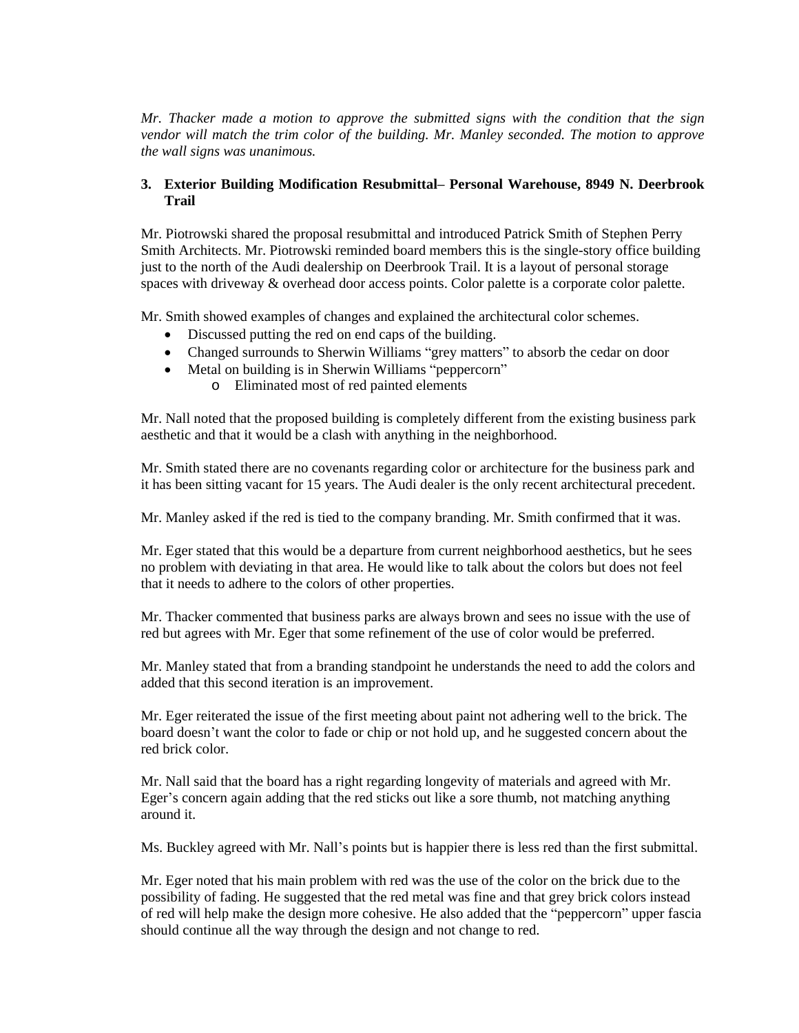*Mr. Thacker made a motion to approve the submitted signs with the condition that the sign vendor will match the trim color of the building. Mr. Manley seconded. The motion to approve the wall signs was unanimous.*

### **3. Exterior Building Modification Resubmittal– Personal Warehouse, 8949 N. Deerbrook Trail**

Mr. Piotrowski shared the proposal resubmittal and introduced Patrick Smith of Stephen Perry Smith Architects. Mr. Piotrowski reminded board members this is the single-story office building just to the north of the Audi dealership on Deerbrook Trail. It is a layout of personal storage spaces with driveway & overhead door access points. Color palette is a corporate color palette.

Mr. Smith showed examples of changes and explained the architectural color schemes.

- Discussed putting the red on end caps of the building.
- Changed surrounds to Sherwin Williams "grey matters" to absorb the cedar on door
- Metal on building is in Sherwin Williams "peppercorn"
	- o Eliminated most of red painted elements

Mr. Nall noted that the proposed building is completely different from the existing business park aesthetic and that it would be a clash with anything in the neighborhood.

Mr. Smith stated there are no covenants regarding color or architecture for the business park and it has been sitting vacant for 15 years. The Audi dealer is the only recent architectural precedent.

Mr. Manley asked if the red is tied to the company branding. Mr. Smith confirmed that it was.

Mr. Eger stated that this would be a departure from current neighborhood aesthetics, but he sees no problem with deviating in that area. He would like to talk about the colors but does not feel that it needs to adhere to the colors of other properties.

Mr. Thacker commented that business parks are always brown and sees no issue with the use of red but agrees with Mr. Eger that some refinement of the use of color would be preferred.

Mr. Manley stated that from a branding standpoint he understands the need to add the colors and added that this second iteration is an improvement.

Mr. Eger reiterated the issue of the first meeting about paint not adhering well to the brick. The board doesn't want the color to fade or chip or not hold up, and he suggested concern about the red brick color.

Mr. Nall said that the board has a right regarding longevity of materials and agreed with Mr. Eger's concern again adding that the red sticks out like a sore thumb, not matching anything around it.

Ms. Buckley agreed with Mr. Nall's points but is happier there is less red than the first submittal.

Mr. Eger noted that his main problem with red was the use of the color on the brick due to the possibility of fading. He suggested that the red metal was fine and that grey brick colors instead of red will help make the design more cohesive. He also added that the "peppercorn" upper fascia should continue all the way through the design and not change to red.